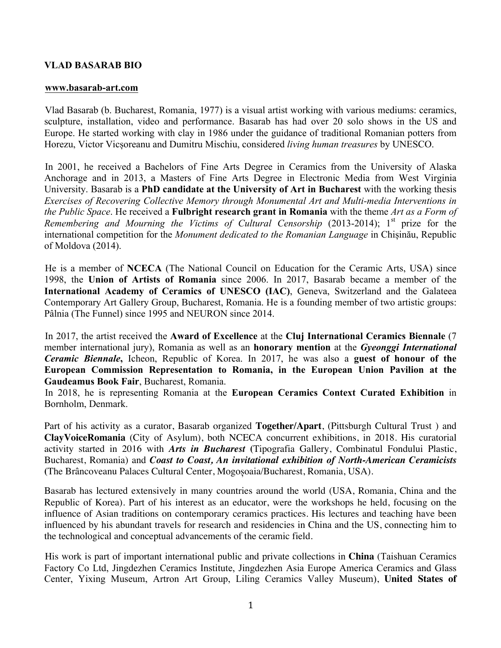## **VLAD BASARAB BIO**

## **www.basarab-art.com**

Vlad Basarab (b. Bucharest, Romania, 1977) is a visual artist working with various mediums: ceramics, sculpture, installation, video and performance. Basarab has had over 20 solo shows in the US and Europe. He started working with clay in 1986 under the guidance of traditional Romanian potters from Horezu, Victor Vicșoreanu and Dumitru Mischiu, considered *living human treasures* by UNESCO.

In 2001, he received a Bachelors of Fine Arts Degree in Ceramics from the University of Alaska Anchorage and in 2013, a Masters of Fine Arts Degree in Electronic Media from West Virginia University. Basarab is a **PhD candidate at the University of Art in Bucharest** with the working thesis *Exercises of Recovering Collective Memory through Monumental Art and Multi-media Interventions in the Public Space*. He received a **Fulbright research grant in Romania** with the theme *Art as a Form of Remembering and Mourning the Victims of Cultural Censorship* (2013-2014); 1<sup>st</sup> prize for the international competition for the *Monument dedicated to the Romanian Language* in Chișinău, Republic of Moldova (2014).

He is a member of **NCECA** (The National Council on Education for the Ceramic Arts, USA) since 1998, the **Union of Artists of Romania** since 2006. In 2017, Basarab became a member of the **International Academy of Ceramics of UNESCO (IAC)**, Geneva, Switzerland and the Galateea Contemporary Art Gallery Group, Bucharest, Romania. He is a founding member of two artistic groups: Pâlnia (The Funnel) since 1995 and NEURON since 2014.

In 2017, the artist received the **Award of Excellence** at the **Cluj International Ceramics Biennale** (7 member international jury), Romania as well as an **honorary mention** at the *Gyeonggi International Ceramic Biennale***,** Icheon, Republic of Korea. In 2017, he was also a **guest of honour of the European Commission Representation to Romania, in the European Union Pavilion at the Gaudeamus Book Fair**, Bucharest, Romania.

In 2018, he is representing Romania at the **European Ceramics Context Curated Exhibition** in Bornholm, Denmark.

Part of his activity as a curator, Basarab organized **Together/Apart**, (Pittsburgh Cultural Trust ) and **ClayVoiceRomania** (City of Asylum), both NCECA concurrent exhibitions, in 2018. His curatorial activity started in 2016 with *Arts in Bucharest* **(**Tipografia Gallery, Combinatul Fondului Plastic, Bucharest, Romania) and *Coast to Coast, An invitational exhibition of North-American Ceramicists* **(**The Brâncoveanu Palaces Cultural Center, Mogoșoaia/Bucharest, Romania, USA).

Basarab has lectured extensively in many countries around the world (USA, Romania, China and the Republic of Korea). Part of his interest as an educator, were the workshops he held, focusing on the influence of Asian traditions on contemporary ceramics practices. His lectures and teaching have been influenced by his abundant travels for research and residencies in China and the US, connecting him to the technological and conceptual advancements of the ceramic field.

His work is part of important international public and private collections in **China** (Taishuan Ceramics Factory Co Ltd, Jingdezhen Ceramics Institute, Jingdezhen Asia Europe America Ceramics and Glass Center, Yixing Museum, Artron Art Group, Liling Ceramics Valley Museum), **United States of**